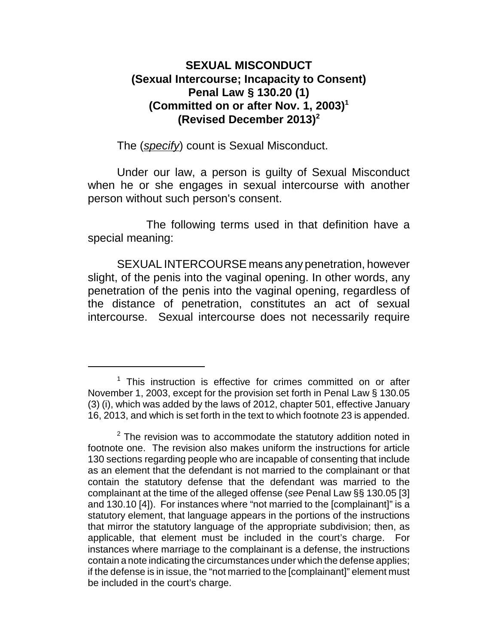## **SEXUAL MISCONDUCT (Sexual Intercourse; Incapacity to Consent) Penal Law § 130.20 (1) (Committed on or after Nov. 1, 2003)<sup>1</sup> (Revised December 2013)<sup>2</sup>**

The (*specify*) count is Sexual Misconduct.

Under our law, a person is guilty of Sexual Misconduct when he or she engages in sexual intercourse with another person without such person's consent.

The following terms used in that definition have a special meaning:

SEXUAL INTERCOURSE means any penetration, however slight, of the penis into the vaginal opening. In other words, any penetration of the penis into the vaginal opening, regardless of the distance of penetration, constitutes an act of sexual intercourse. Sexual intercourse does not necessarily require

 $1$  This instruction is effective for crimes committed on or after November 1, 2003, except for the provision set forth in Penal Law § 130.05 (3) (i), which was added by the laws of 2012, chapter 501, effective January 16, 2013, and which is set forth in the text to which footnote 23 is appended.

 $2$  The revision was to accommodate the statutory addition noted in footnote one. The revision also makes uniform the instructions for article 130 sections regarding people who are incapable of consenting that include as an element that the defendant is not married to the complainant or that contain the statutory defense that the defendant was married to the complainant at the time of the alleged offense (*see* Penal Law §§ 130.05 [3] and 130.10 [4]). For instances where "not married to the [complainant]" is a statutory element, that language appears in the portions of the instructions that mirror the statutory language of the appropriate subdivision; then, as applicable, that element must be included in the court's charge. For instances where marriage to the complainant is a defense, the instructions contain a note indicating the circumstances under which the defense applies; if the defense is in issue, the "not married to the [complainant]" element must be included in the court's charge.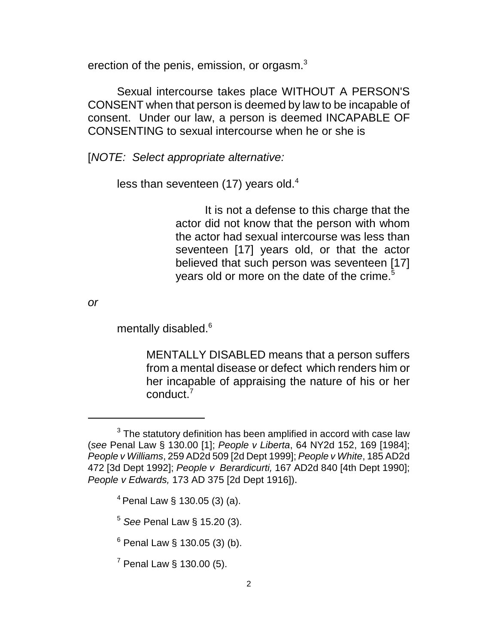erection of the penis, emission, or orgasm.<sup>3</sup>

Sexual intercourse takes place WITHOUT A PERSON'S CONSENT when that person is deemed by law to be incapable of consent. Under our law, a person is deemed INCAPABLE OF CONSENTING to sexual intercourse when he or she is

[*NOTE: Select appropriate alternative:*

less than seventeen  $(17)$  years old.<sup>4</sup>

It is not a defense to this charge that the actor did not know that the person with whom the actor had sexual intercourse was less than seventeen [17] years old, or that the actor believed that such person was seventeen [17] years old or more on the date of the crime.<sup>5</sup>

*or*

mentally disabled.<sup>6</sup>

MENTALLY DISABLED means that a person suffers from a mental disease or defect which renders him or her incapable of appraising the nature of his or her conduct.<sup>7</sup>

 $3$  The statutory definition has been amplified in accord with case law (*see* Penal Law § 130.00 [1]; *People v Liberta*, 64 NY2d 152, 169 [1984]; *People v Williams*, 259 AD2d 509 [2d Dept 1999]; *People v White*, 185 AD2d 472 [3d Dept 1992]; *People v Berardicurti,* 167 AD2d 840 [4th Dept 1990]; *People v Edwards,* 173 AD 375 [2d Dept 1916]).

 $4$  Penal Law § 130.05 (3) (a).

<sup>5</sup>  *See* Penal Law § 15.20 (3).

 $^6$  Penal Law § 130.05 (3) (b).

 $7$  Penal Law § 130.00 (5).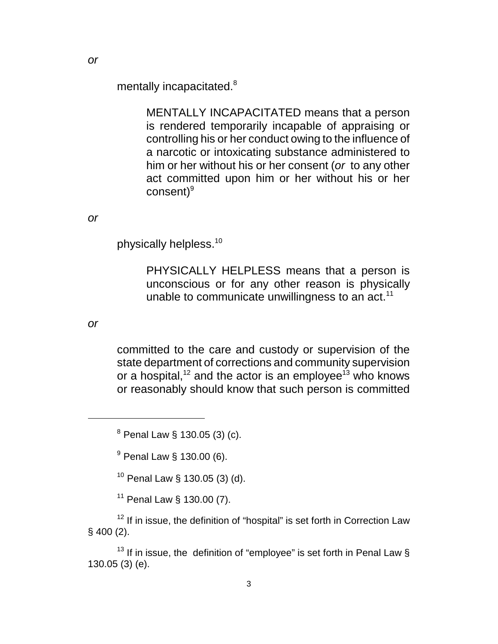mentally incapacitated.<sup>8</sup>

MENTALLY INCAPACITATED means that a person is rendered temporarily incapable of appraising or controlling his or her conduct owing to the influence of a narcotic or intoxicating substance administered to him or her without his or her consent (*or* to any other act committed upon him or her without his or her consent)<sup>9</sup>

*or*

physically helpless.<sup>10</sup>

PHYSICALLY HELPLESS means that a person is unconscious or for any other reason is physically unable to communicate unwillingness to an act.<sup>11</sup>

*or*

committed to the care and custody or supervision of the state department of corrections and community supervision or a hospital, $12$  and the actor is an employee<sup>13</sup> who knows or reasonably should know that such person is committed

<sup>8</sup> Penal Law § 130.05 (3) (c).

<sup>9</sup> Penal Law § 130.00 (6).

 $10$  Penal Law § 130.05 (3) (d).

<sup>11</sup> Penal Law § 130.00 (7).

 $12$  If in issue, the definition of "hospital" is set forth in Correction Law § 400 (2).

<sup>13</sup> If in issue, the definition of "employee" is set forth in Penal Law  $\S$ 130.05 (3) (e).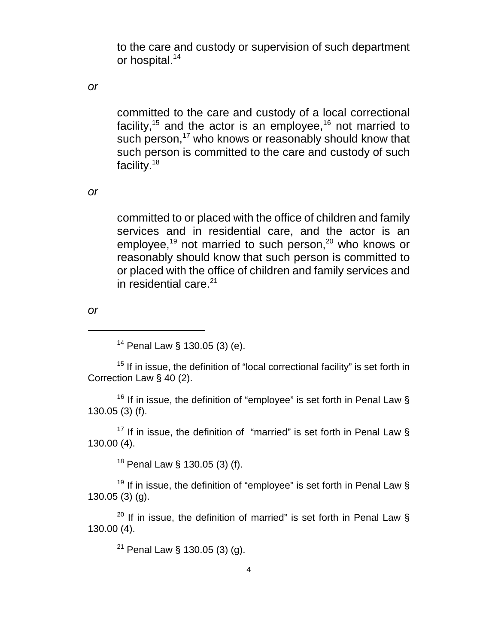to the care and custody or supervision of such department or hospital.<sup>14</sup>

*or*

committed to the care and custody of a local correctional facility,<sup>15</sup> and the actor is an employee,<sup>16</sup> not married to such person,<sup>17</sup> who knows or reasonably should know that such person is committed to the care and custody of such facility.<sup>18</sup>

*or*

committed to or placed with the office of children and family services and in residential care, and the actor is an employee,<sup>19</sup> not married to such person,<sup>20</sup> who knows or reasonably should know that such person is committed to or placed with the office of children and family services and in residential care. $21$ 

*or*

 $14$  Penal Law § 130.05 (3) (e).

 $15$  If in issue, the definition of "local correctional facility" is set forth in Correction Law § 40 (2).

<sup>16</sup> If in issue, the definition of "employee" is set forth in Penal Law § 130.05 (3) (f).

<sup>17</sup> If in issue, the definition of "married" is set forth in Penal Law  $\frac{1}{2}$ 130.00 (4).

<sup>18</sup> Penal Law § 130.05 (3) (f).

<sup>19</sup> If in issue, the definition of "employee" is set forth in Penal Law  $\S$ 130.05 (3) (g).

<sup>20</sup> If in issue, the definition of married" is set forth in Penal Law  $\S$ 130.00 (4).

<sup>21</sup> Penal Law § 130.05 (3) (g).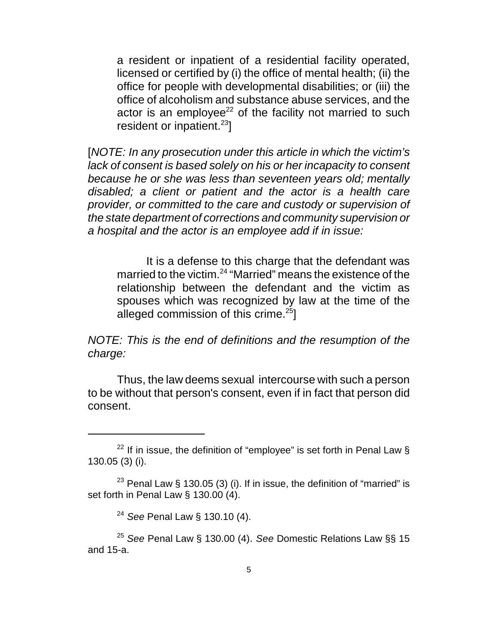a resident or inpatient of a residential facility operated, licensed or certified by (i) the office of mental health; (ii) the office for people with developmental disabilities; or (iii) the office of alcoholism and substance abuse services, and the actor is an employee<sup>22</sup> of the facility not married to such resident or inpatient. $23$ ]

[*NOTE: In any prosecution under this article in which the victim's lack of consent is based solely on his or her incapacity to consent because he or she was less than seventeen years old; mentally disabled; a client or patient and the actor is a health care provider, or committed to the care and custody or supervision of the state department of corrections and community supervision or a hospital and the actor is an employee add if in issue:*

It is a defense to this charge that the defendant was married to the victim.<sup>24</sup> "Married" means the existence of the relationship between the defendant and the victim as spouses which was recognized by law at the time of the alleged commission of this crime. $25$ ]

*NOTE: This is the end of definitions and the resumption of the charge:*

Thus, the law deems sexual intercourse with such a person to be without that person's consent, even if in fact that person did consent.

<sup>&</sup>lt;sup>22</sup> If in issue, the definition of "employee" is set forth in Penal Law  $\S$ 130.05 (3) (i).

<sup>&</sup>lt;sup>23</sup> Penal Law § 130.05 (3) (i). If in issue, the definition of "married" is set forth in Penal Law § 130.00 (4).

<sup>24</sup> *See* Penal Law § 130.10 (4).

<sup>25</sup> *See* Penal Law § 130.00 (4). *See* Domestic Relations Law §§ 15 and 15-a.